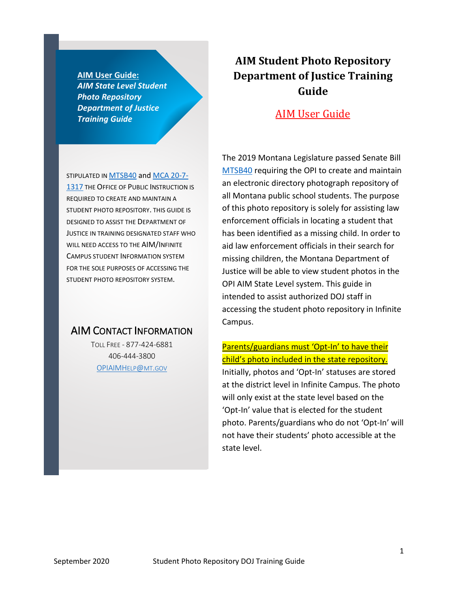**AIM User Guide:** *AIM State Level Student Photo Repository Department of Justice Training Guide*

STIPULATED I[N MTSB40](https://legiscan.com/MT/text/SB40/2019) and [MCA 20-7-](https://leg.mt.gov/bills/mca/title_0200/chapter_0070/part_0130/section_0170/0200-0070-0130-0170.html) **[1317](https://leg.mt.gov/bills/mca/title_0200/chapter_0070/part_0130/section_0170/0200-0070-0130-0170.html) THE OFFICE OF PUBLIC INSTRUCTION IS** REQUIRED TO CREATE AND MAINTAIN A STUDENT PHOTO REPOSITORY. THIS GUIDE IS DESIGNED TO ASSIST THE DEPARTMENT OF JUSTICE IN TRAINING DESIGNATED STAFF WHO WILL NEED ACCESS TO THE AIM/INFINITE CAMPUS STUDENT INFORMATION SYSTEM FOR THE SOLE PURPOSES OF ACCESSING THE STUDENT PHOTO REPOSITORY SYSTEM.

### AIM CONTACT INFORMATION

TOLL FREE - 877-424-6881 406-444-3800 [OPIAIMHELP@MT.GOV](mailto:OPIAIMHelp@mt.gov)

### **AIM Student Photo Repository Department of Justice Training Guide**

### AIM User Guide

The 2019 Montana Legislature passed Senate Bill [MTSB40](https://legiscan.com/MT/text/SB40/2019) requiring the OPI to create and maintain an electronic directory photograph repository of all Montana public school students. The purpose of this photo repository is solely for assisting law enforcement officials in locating a student that has been identified as a missing child. In order to aid law enforcement officials in their search for missing children, the Montana Department of Justice will be able to view student photos in the OPI AIM State Level system. This guide in intended to assist authorized DOJ staff in accessing the student photo repository in Infinite Campus.

### Parents/guardians must 'Opt-In' to have their child's photo included in the state repository.

Initially, photos and 'Opt-In' statuses are stored at the district level in Infinite Campus. The photo will only exist at the state level based on the 'Opt-In' value that is elected for the student photo. Parents/guardians who do not 'Opt-In' will not have their students' photo accessible at the state level.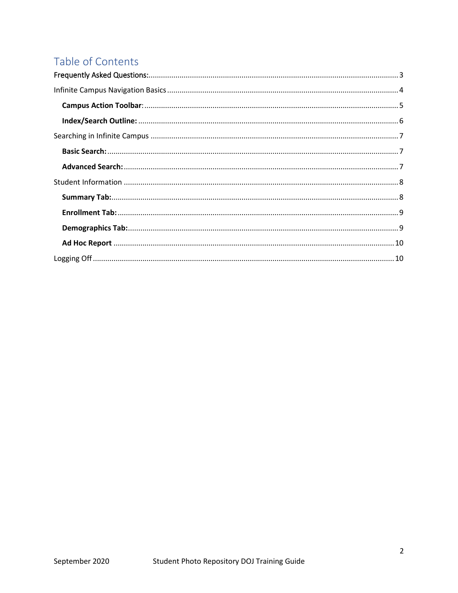## Table of Contents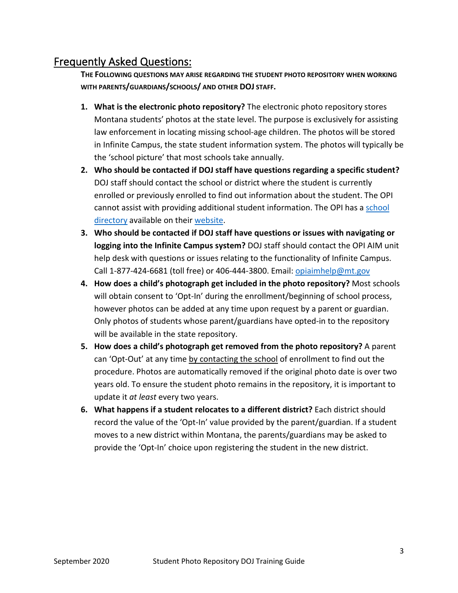### <span id="page-2-0"></span>Frequently Asked Questions:

**THE FOLLOWING QUESTIONS MAY ARISE REGARDING THE STUDENT PHOTO REPOSITORY WHEN WORKING WITH PARENTS/GUARDIANS/SCHOOLS/ AND OTHER DOJ STAFF.**

- **1. What is the electronic photo repository?** The electronic photo repository stores Montana students' photos at the state level. The purpose is exclusively for assisting law enforcement in locating missing school-age children. The photos will be stored in Infinite Campus, the state student information system. The photos will typically be the 'school picture' that most schools take annually.
- **2. Who should be contacted if DOJ staff have questions regarding a specific student?**  DOJ staff should contact the school or district where the student is currently enrolled or previously enrolled to find out information about the student. The OPI cannot assist with providing additional student information. The OPI has a [school](https://apps.opi.mt.gov/SchoolDirectory/)  [directory](https://apps.opi.mt.gov/SchoolDirectory/) available on their [website.](http://opi.mt.gov/SchoolDirectory)
- **3. Who should be contacted if DOJ staff have questions or issues with navigating or logging into the Infinite Campus system?** DOJ staff should contact the OPI AIM unit help desk with questions or issues relating to the functionality of Infinite Campus. Call 1-877-424-6681 (toll free) or 406-444-3800. Email: opiaimhelp@mt.gov
- **4. How does a child's photograph get included in the photo repository?** Most schools will obtain consent to 'Opt-In' during the enrollment/beginning of school process, however photos can be added at any time upon request by a parent or guardian. Only photos of students whose parent/guardians have opted-in to the repository will be available in the state repository.
- **5. How does a child's photograph get removed from the photo repository?** A parent can 'Opt-Out' at any time by contacting the school of enrollment to find out the procedure. Photos are automatically removed if the original photo date is over two years old. To ensure the student photo remains in the repository, it is important to update it *at least* every two years.
- **6. What happens if a student relocates to a different district?** Each district should record the value of the 'Opt-In' value provided by the parent/guardian. If a student moves to a new district within Montana, the parents/guardians may be asked to provide the 'Opt-In' choice upon registering the student in the new district.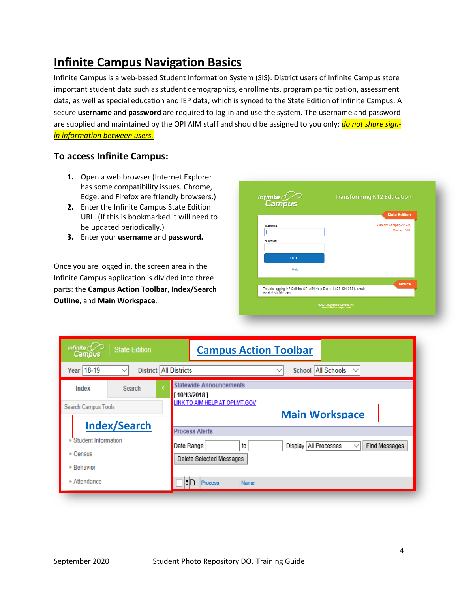# <span id="page-3-0"></span>**Infinite Campus Navigation Basics**

Infinite Campus is a web-based Student Information System (SIS). District users of Infinite Campus store important student data such as student demographics, enrollments, program participation, assessment data, as well as special education and IEP data, which is synced to the State Edition of Infinite Campus. A secure **username** and **password** are required to log-in and use the system. The username and password are supplied and maintained by the OPI AIM staff and should be assigned to you only; *do not share signin information between users.*

#### **To access Infinite Campus:**

- **1.** Open a web browser (Internet Explorer has some compatibility issues. Chrome, Edge, and Firefox are friendly browsers.)
- **2.** Enter the Infinite Campus State Edition URL. (If this is bookmarked it will need to be updated periodically.)
- **3.** Enter your **username** and **password.**

Once you are logged in, the screen area in the Infinite Campus application is divided into three parts: the **Campus Action Toolbar**, **Index/Search Outline**, and **Main Workspace**.

|                      | <b>State Edition</b>                                                                    |
|----------------------|-----------------------------------------------------------------------------------------|
| Username<br>Password | Version: Campus.2012.9<br>Montana AIM                                                   |
| Log In               |                                                                                         |
| Help                 |                                                                                         |
|                      | <b>Notice</b><br>Trouble logging in? Call the OPI AIM Help Desk: 1-877-424-6681, email: |

| Infinite $\mathbb{C}$<br><b>State Edition</b><br>Campus             | <b>Campus Action Toolbar</b>                                                                             |
|---------------------------------------------------------------------|----------------------------------------------------------------------------------------------------------|
| District   All Districts<br>Year 18-19                              | School All Schools<br>$\checkmark$<br>$\checkmark$                                                       |
| Index<br>Search                                                     | <b>Statewide Announcements</b><br>[10/13/2018]                                                           |
| Search Campus Tools<br><b>Index/Search</b>                          | LINK TO AIM HELP AT OPI.MT.GOV<br><b>Main Workspace</b><br><b>Process Alerts</b>                         |
| <b>Student Information</b><br>$\triangleright$ Census<br>▶ Behavior | Display   All Processes<br>Find Messages<br>Date Range<br>to<br>$\checkmark$<br>Delete Selected Messages |
| ▶ Attendance                                                        | ŧΠ<br><b>Process</b><br><b>Name</b>                                                                      |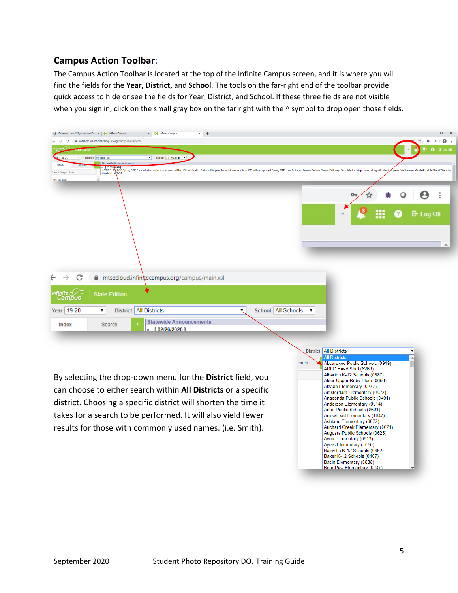### <span id="page-4-0"></span>**Campus Action Toolbar**:

The Campus Action Toolbar is located at the top of the Infinite Campus screen, and it is where you will find the fields for the **Year, District,** and **School**. The tools on the far-right end of the toolbar provide quick access to hide or see the fields for Year, District, and School. If these three fields are not visible when you sign in, click on the small gray box on the far right with the  $\wedge$  symbol to drop open those fields.

| Contacts - frmSISSystemLevelCor X   C Infinite Campus<br>$x +$<br>C.<br>mtsecloud.infinitecampus.org/campus/main.xsl                                                                                                                                                                                                                                                                                       |                                                                                                                                                                                                                                                                                                                                                                                                                                                                                                                                                                                                                                                                    |
|------------------------------------------------------------------------------------------------------------------------------------------------------------------------------------------------------------------------------------------------------------------------------------------------------------------------------------------------------------------------------------------------------------|--------------------------------------------------------------------------------------------------------------------------------------------------------------------------------------------------------------------------------------------------------------------------------------------------------------------------------------------------------------------------------------------------------------------------------------------------------------------------------------------------------------------------------------------------------------------------------------------------------------------------------------------------------------------|
| $r$ 19-20<br>District All Districts<br>School All Schools<br>$\overline{\phantom{a}}$<br>Statewide Announcements<br>Index<br>. [0278/Rutu]<br>NOTICE 2N9-20 Spring CTE Concentrators collection process will be different for ALL Districts this year. An email was sent from OPI with an updated Spring CTE User Guide and a new Perkins Career Pathways Temp<br><b>Search Campus Tool</b><br>Gerrad Robi |                                                                                                                                                                                                                                                                                                                                                                                                                                                                                                                                                                                                                                                                    |
|                                                                                                                                                                                                                                                                                                                                                                                                            | 더 Log Off                                                                                                                                                                                                                                                                                                                                                                                                                                                                                                                                                                                                                                                          |
| C<br>■ mtsecloud.infinitecampus.org/campus/main.xsl<br>nfinite<br>Campus<br><b>State Edition</b><br>District   All Districts<br>Year 19-20<br>School   All Schools<br>۷.<br><b>Statewide Announcements</b><br>Index<br>Search<br>[02/26/2020]                                                                                                                                                              | $\pmb{\mathbf{v}}$                                                                                                                                                                                                                                                                                                                                                                                                                                                                                                                                                                                                                                                 |
| By selecting the drop-down menu for the District field, you<br>can choose to either search within All Districts or a specific<br>district. Choosing a specific district will shorten the time it<br>takes for a search to be performed. It will also yield fewer<br>results for those with commonly used names. (i.e. Smith).                                                                              | District   All Districts<br>۷.<br><b>All Districts</b><br>earch<br>Absarokee Public Schools (0919)<br>ADLC Head Start (6269)<br>Alberton K-12 Schools (0687)<br>Alder-Upper Ruby Elem (0653)<br>Alzada Elementary (0277)<br>Amsterdam Elementary (0522)<br>Anaconda Public Schools (0401)<br>Anderson Elementary (0514)<br>Arlee Public Schools (0601)<br>Arrowhead Elementary (1047)<br>Ashland Elementary (0872)<br>Auchard Creek Elementary (0621)<br>Augusta Public Schools (0625)<br>Avon Elementary (0813)<br>Ayers Elementary (1050)<br>Bainville K-12 Schools (0862)<br>Baker K-12 Schools (0407)<br>Basin Elementary (0586)<br>Bear Paw Flementary (0237) |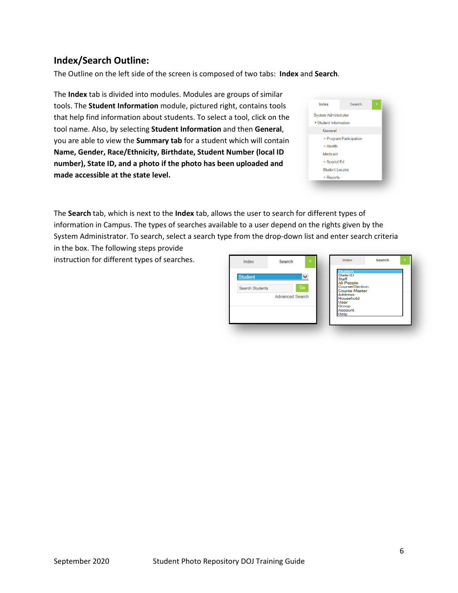#### <span id="page-5-0"></span>**Index/Search Outline:**

The Outline on the left side of the screen is composed of two tabs: **Index** and **Search**.

The **Index** tab is divided into modules. Modules are groups of similar tools. The **Student Information** module, pictured right, contains tools that help find information about students. To select a tool, click on the tool name. Also, by selecting **Student Information** and then **General**, you are able to view the **Summary tab** for a student which will contain **Name, Gender, Race/Ethnicity, Birthdate, Student Number (local ID number), State ID, and a photo if the photo has been uploaded and made accessible at the state level.**

| Index                       | Search                  |  |
|-----------------------------|-------------------------|--|
| <b>System Administrator</b> |                         |  |
| ▼ Student Information       |                         |  |
| General                     |                         |  |
|                             | ▶ Program Participation |  |
| ▶ Health                    |                         |  |
| Medicaid                    |                         |  |
| ▶ Special Ed                |                         |  |
| <b>Student Locator</b>      |                         |  |
| $\triangleright$ Reports    |                         |  |

The **Search** tab, which is next to the **Index** tab, allows the user to search for different types of information in Campus. The types of searches available to a user depend on the rights given by the System Administrator. To search, select a search type from the drop-down list and enter search criteria in the box. The following steps provide

instruction for different types of searches.

| Student<br>Search Students | Go<br><b>Advanced Search</b> | $\checkmark$ | <b>Student</b><br>State ID<br>Staff<br><b>All People</b><br>Course/Section<br><b>Course Master</b><br><b>Address</b><br>Household |  |
|----------------------------|------------------------------|--------------|-----------------------------------------------------------------------------------------------------------------------------------|--|
|                            |                              |              | User<br>Group<br>Account<br>Help                                                                                                  |  |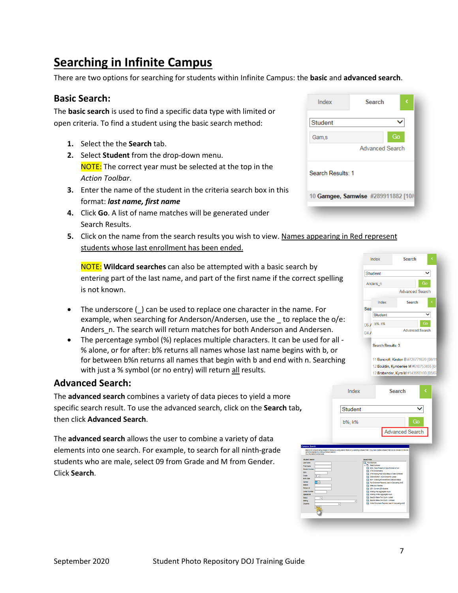# <span id="page-6-0"></span>**Searching in Infinite Campus**

There are two options for searching for students within Infinite Campus: the **basic** and **advanced search**.

#### <span id="page-6-1"></span>**Basic Search:**

The **basic search** is used to find a specific data type with limited or open criteria. To find a student using the basic search method:

- **1.** Select the the **Search** tab.
- **2.** Select **Student** from the drop-down menu. NOTE: The correct year must be selected at the top in the *Action Toolbar*.
- **3.** Enter the name of the student in the criteria search box in this format: *last name, first name*
- **4.** Click **Go**. A list of name matches will be generated under Search Results.
- **5.** Click on the name from the search results you wish to view. Names appearing in Red represent students whose last enrollment has been ended.

NOTE: **Wildcard searches** can also be attempted with a basic search by entering part of the last name, and part of the first name if the correct spelling is not known.

- The underscore () can be used to replace one character in the name. For example, when searching for Anderson/Andersen, use the to replace the o/e: Anders n. The search will return matches for both Anderson and Andersen.
- The percentage symbol (%) replaces multiple characters. It can be used for all % alone, or for after: b% returns all names whose last name begins with b, or for between b%n returns all names that begin with b and end with n. Searching with just a % symbol (or no entry) will return all results.

#### <span id="page-6-2"></span>**Advanced Search:**

The **advanced search** combines a variety of data pieces to yield a more specific search result. To use the advanced search, click on the **Search** tab**,** then click **Advanced Search**.

The **advanced search** allows the user to combine a variety of data elements into one search. For example, to search for all ninth-grade students who are male, select 09 from Grade and M from Gender. Click **Search**.

| Index             | <b>Search</b>                      |    |
|-------------------|------------------------------------|----|
| <b>Student</b>    |                                    |    |
| Gam, s            |                                    | Go |
|                   | <b>Advanced Search</b>             |    |
| Search Results: 1 |                                    |    |
|                   | 10 Gamgee, Samwise #289911882 [10/ |    |
|                   |                                    |    |



| Last Name<br><b>First Name</b><br><b>Student Number</b><br>SSN<br>Grade<br>$\infty$<br><b>Ports Class</b><br>Cancer<br>N<br><b>State D</b><br>Person ID<br><b>Longar Number</b><br>Special Ed<br><b>RESIDE</b><br>v<br>Setting<br><b>DISSIDE</b><br>v | 12 Fall Absences<br><b>R The State Published</b><br>Fill, ADA - Dave Present or Dave Enrolled is Null<br><b>EX CTE Concentrators</b><br>CTE Missing Post Grad Status or Date Contacted<br>[C] District Edition - ADA Extract for Upload<br>EOY - Missing Enrollment End Date and Status<br>A Fall Enrolment Records Used in Calculating ANB<br>Cil cited and Talented<br><b>LEP - Current LEP students</b><br>Missing Fall Apgregate Hours<br>Ell Missing Winter Aggregate Hours<br>Cal Spec Ed Status Fall Court - Locked<br>3 Soec Ed Status Pall Court - Unlocked<br>v<br>[3] Writer Enrolment Records Used In Calculating ANB |
|-------------------------------------------------------------------------------------------------------------------------------------------------------------------------------------------------------------------------------------------------------|-----------------------------------------------------------------------------------------------------------------------------------------------------------------------------------------------------------------------------------------------------------------------------------------------------------------------------------------------------------------------------------------------------------------------------------------------------------------------------------------------------------------------------------------------------------------------------------------------------------------------------------|
|-------------------------------------------------------------------------------------------------------------------------------------------------------------------------------------------------------------------------------------------------------|-----------------------------------------------------------------------------------------------------------------------------------------------------------------------------------------------------------------------------------------------------------------------------------------------------------------------------------------------------------------------------------------------------------------------------------------------------------------------------------------------------------------------------------------------------------------------------------------------------------------------------------|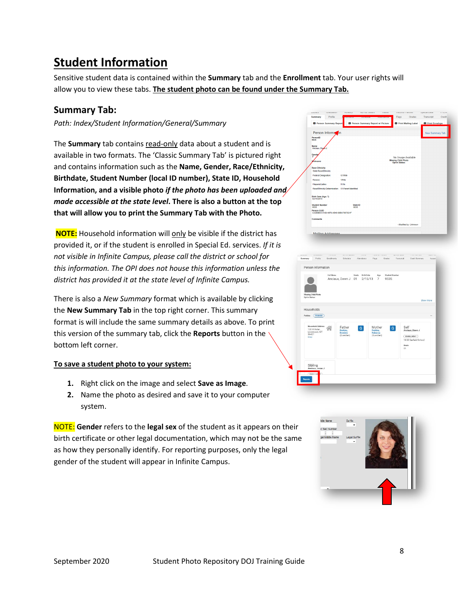# <span id="page-7-0"></span>**Student Information**

Sensitive student data is contained within the **Summary** tab and the **Enrollment** tab. Your user rights will allow you to view these tabs. **The student photo can be found under the Summary Tab.**

#### <span id="page-7-1"></span>**Summary Tab:**

*Path: Index/Student Information/General/Summary*

The **Summary** tab contains read-only data about a student and is available in two formats. The 'Classic Summary Tab' is pictured right and contains information such as the **Name, Gender, Race/Ethnicity, Birthdate, Student Number (local ID number), State ID, Household Information, and a visible photo** *if the photo has been uploaded and made accessible at the state level***. There is also a button at the top that will allow you to print the Summary Tab with the Photo.**

**NOTE:** Household information will only be visible if the district has provided it, or if the student is enrolled in Special Ed. services. *If it is not visible in Infinite Campus, please call the district or school for this information. The OPI does not house this information unless the district has provided it at the state level of Infinite Campus.*

There is also a *New Summary* format which is available by clicking the **New Summary Tab** in the top right corner. This summary format is will include the same summary details as above. To print this version of the summary tab, click the **Reports** button in the bottom left corner.

#### **To save a student photo to your system:**

- **1.** Right click on the image and select **Save as Image**.
- **2.** Name the photo as desired and save it to your computer system.

NOTE: **Gender** refers to the **legal sex** of the student as it appears on their birth certificate or other legal documentation, which may not be the same as how they personally identify. For reporting purposes, only the legal gender of the student will appear in Infinite Campus.



|                                                                           | Full Name | Anciaux, Dawn J 01                          | Grade | <b>Birth Date</b><br>2/15/13 | Age<br>$\overline{7}$                       | <b>Student Number</b><br>9535 |                     |                                                        |           |
|---------------------------------------------------------------------------|-----------|---------------------------------------------|-------|------------------------------|---------------------------------------------|-------------------------------|---------------------|--------------------------------------------------------|-----------|
| Missing Child Photo<br>Opt in Status:                                     |           |                                             |       |                              |                                             |                               |                     |                                                        | Show More |
| Households                                                                |           |                                             |       |                              |                                             |                               |                     |                                                        |           |
| Perkins<br>PRIMARY                                                        |           |                                             |       |                              |                                             |                               |                     |                                                        |           |
| <b>Household Address</b><br>120 W Kolar.<br>Lewistown, MT<br>59457<br>map |           | Father<br>Perkins.<br>Dominic<br>(Guardian) |       | $\vert$ G                    | Mother<br>Perkins.<br>Rebecca<br>(Guardian) |                               | Self<br>$\boxed{G}$ | Anciaux, Dawn J<br>ENROLLMENT<br>19-20 Garfield School |           |
|                                                                           |           |                                             |       |                              |                                             |                               | Grade<br>01         |                                                        |           |
| Sibling<br>Anciaux, Jesse J<br>T<br>н                                     |           |                                             |       |                              |                                             |                               |                     |                                                        |           |

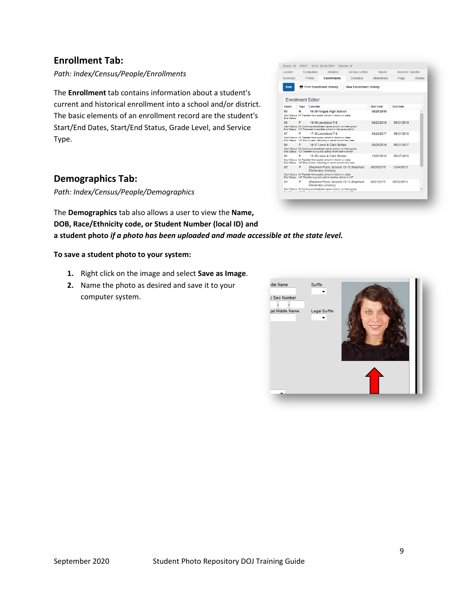#### <span id="page-8-0"></span>**Enrollment Tab:**

*Path: Index/Census/People/Enrollments*

The **Enrollment** tab contains information about a student's current and historical enrollment into a school and/or district. The basic elements of an enrollment record are the student's Start/End Dates, Start/End Status, Grade Level, and Service Type.

| Lockers                  |             | Graduation | <b>Athletics</b>                                                                                                                                                     | Ad Hoc Letters                         |                   | <b><i><u>Maiver</u></i></b> | <b>Records Transfer</b> |        |
|--------------------------|-------------|------------|----------------------------------------------------------------------------------------------------------------------------------------------------------------------|----------------------------------------|-------------------|-----------------------------|-------------------------|--------|
| Summary                  |             | Profile    | <b>Enrollments</b>                                                                                                                                                   | Schedule                               | Attendance        |                             | Flags                   | Grades |
| <b>New</b>               |             |            | <b>Print Enrollment History</b>                                                                                                                                      | <b>New Enrollment History</b>          |                   |                             |                         |        |
| <b>Enrollment Editor</b> |             |            |                                                                                                                                                                      |                                        |                   |                             |                         |        |
| Grade                    | <b>Type</b> | Calendar   |                                                                                                                                                                      |                                        | <b>Start Date</b> |                             | <b>End Date</b>         |        |
| 09<br><b>Fod Status:</b> | N           |            | 19-20 Feraus High School<br>Start Status: 04 Transfer from public school in district or state                                                                        |                                        | 08/21/2019        |                             |                         |        |
| 08                       | P           |            | 18-19 Lewistown 7-8<br>Start Status: 02 Continued enrollment same school, no interruption<br>End Status: 110 Promoted to another school in the same district         |                                        | 08/23/2018        |                             | 05/31/2019              |        |
| 07                       | P           |            | 17-18   ewistown 7-8<br>Start Status: 04 Transfer from public school in district or state<br>End Status: 100 End of year, returning to same school next year.        |                                        | 08/24/2017        |                             | 05/31/2018              |        |
| 06                       | P           |            | 16-17 Lewis & Clark School<br>Start Status: 02 Continued enrollment same school, no interruption<br>End Status: 120 Transfer to a public school in the same district |                                        | 08/25/2016        |                             | 05/31/2017              |        |
| 05                       | P           |            | 15-16 Lewis & Clark School<br>Start Status: 04 Transfer from public school in district or state<br>End Status: 100 End of year, returning to same school next year   |                                        | 12/07/2015        |                             | 05/27/2016              |        |
| 05                       | P           |            | Elementary (History)<br>Start Status: 04 Transfer from public school in district or state                                                                            | Shepherd Public Schools 15-16 Shepherd | 08/26/2015        |                             | 12/04/2015              |        |
|                          |             |            | End Status: 140 Transfer to public schl in another district in MT                                                                                                    |                                        |                   |                             |                         |        |
| nΔ                       | p           |            | <b>Elementary (History)</b>                                                                                                                                          | Shepherd Public Schools 13-14 Shepherd | 08/21/2013        |                             | 05/23/2014              |        |
|                          |             |            | Start Status: 02 Continued enrollment same school, no interruption                                                                                                   |                                        |                   |                             |                         |        |

#### <span id="page-8-1"></span>**Demographics Tab:**

*Path: Index/Census/People/Demographics*

The **Demographics** tab also allows a user to view the **Name, DOB, Race/Ethnicity code, or Student Number (local ID) and a student photo** *if a photo has been uploaded and made accessible at the state level.*

#### **To save a student photo to your system:**

- **1.** Right click on the image and select **Save as Image**.
- **2.** Name the photo as desired and save it to your computer system.